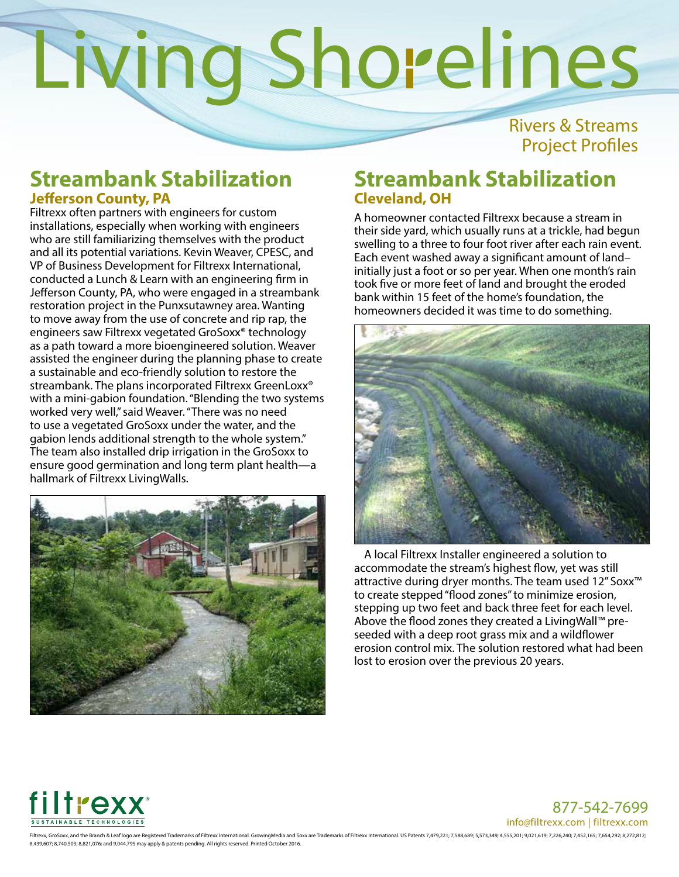Rivers & Streams Project Profiles

### **Streambank Stabilization Jefferson County, PA**

Filtrexx often partners with engineers for custom installations, especially when working with engineers who are still familiarizing themselves with the product and all its potential variations. Kevin Weaver, CPESC, and VP of Business Development for Filtrexx International, conducted a Lunch & Learn with an engineering firm in Jefferson County, PA, who were engaged in a streambank restoration project in the Punxsutawney area. Wanting to move away from the use of concrete and rip rap, the engineers saw Filtrexx vegetated GroSoxx® technology as a path toward a more bioengineered solution. Weaver assisted the engineer during the planning phase to create a sustainable and eco-friendly solution to restore the streambank. The plans incorporated Filtrexx GreenLoxx<sup>®</sup> with a mini-gabion foundation. "Blending the two systems worked very well," said Weaver. "There was no need to use a vegetated GroSoxx under the water, and the gabion lends additional strength to the whole system." The team also installed drip irrigation in the GroSoxx to ensure good germination and long term plant health—a hallmark of Filtrexx LivingWalls.



### **Streambank Stabilization Cleveland, OH**

A homeowner contacted Filtrexx because a stream in their side yard, which usually runs at a trickle, had begun swelling to a three to four foot river after each rain event. Each event washed away a significant amount of land– initially just a foot or so per year. When one month's rain took five or more feet of land and brought the eroded bank within 15 feet of the home's foundation, the homeowners decided it was time to do something.



A local Filtrexx Installer engineered a solution to accommodate the stream's highest flow, yet was still attractive during dryer months. The team used 12" Soxx™ to create stepped "flood zones" to minimize erosion, stepping up two feet and back three feet for each level. Above the flood zones they created a LivingWall™ preseeded with a deep root grass mix and a wildflower erosion control mix. The solution restored what had been lost to erosion over the previous 20 years.



877-542-7699 info@filtrexx.com | filtrexx.com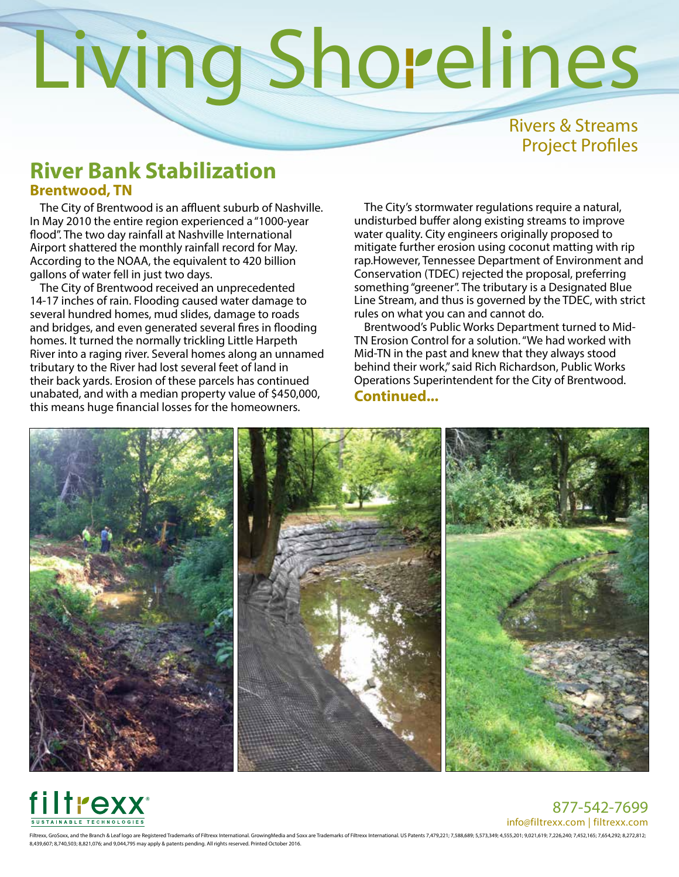Rivers & Streams Project Profiles

### **River Bank Stabilization Brentwood, TN**

The City of Brentwood is an affluent suburb of Nashville. In May 2010 the entire region experienced a "1000-year flood". The two day rainfall at Nashville International Airport shattered the monthly rainfall record for May. According to the NOAA, the equivalent to 420 billion gallons of water fell in just two days.

The City of Brentwood received an unprecedented 14-17 inches of rain. Flooding caused water damage to several hundred homes, mud slides, damage to roads and bridges, and even generated several fires in flooding homes. It turned the normally trickling Little Harpeth River into a raging river. Several homes along an unnamed tributary to the River had lost several feet of land in their back yards. Erosion of these parcels has continued unabated, and with a median property value of \$450,000, this means huge financial losses for the homeowners.

The City's stormwater regulations require a natural, undisturbed buffer along existing streams to improve water quality. City engineers originally proposed to mitigate further erosion using coconut matting with rip rap.However, Tennessee Department of Environment and Conservation (TDEC) rejected the proposal, preferring something "greener". The tributary is a Designated Blue Line Stream, and thus is governed by the TDEC, with strict rules on what you can and cannot do.

Brentwood's Public Works Department turned to Mid-TN Erosion Control for a solution. "We had worked with Mid-TN in the past and knew that they always stood behind their work," said Rich Richardson, Public Works Operations Superintendent for the City of Brentwood. **Continued...** 





877-542-7699 info@filtrexx.com | filtrexx.com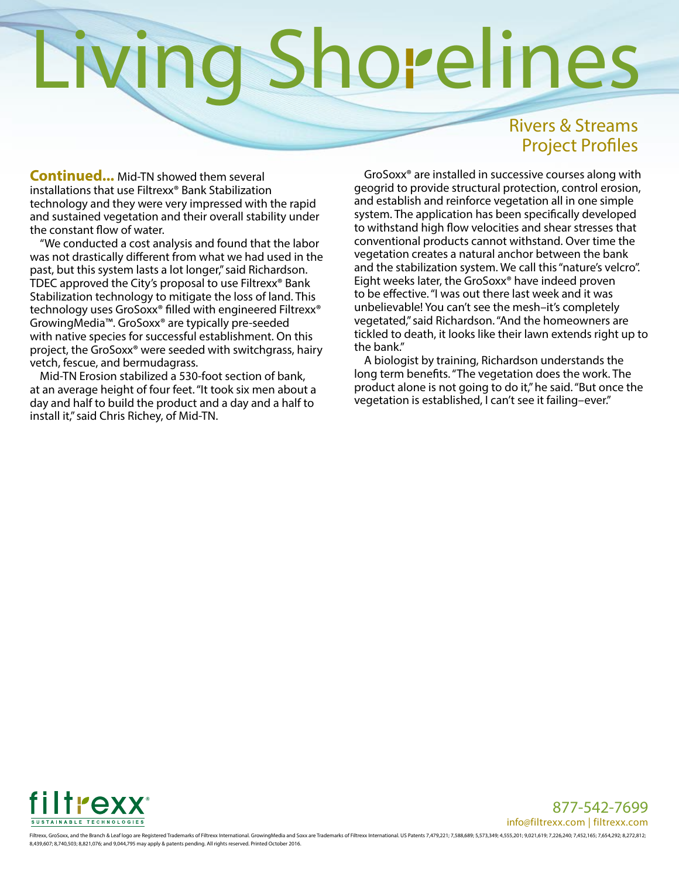## Rivers & Streams Project Profiles

**Continued...** Mid-TN showed them several installations that use Filtrexx® Bank Stabilization technology and they were very impressed with the rapid and sustained vegetation and their overall stability under the constant flow of water.

"We conducted a cost analysis and found that the labor was not drastically different from what we had used in the past, but this system lasts a lot longer," said Richardson. TDEC approved the City's proposal to use Filtrexx® Bank Stabilization technology to mitigate the loss of land. This technology uses GroSoxx® filled with engineered Filtrexx® GrowingMedia™. GroSoxx® are typically pre-seeded with native species for successful establishment. On this project, the GroSoxx® were seeded with switchgrass, hairy vetch, fescue, and bermudagrass.

Mid-TN Erosion stabilized a 530-foot section of bank, at an average height of four feet. "It took six men about a day and half to build the product and a day and a half to install it," said Chris Richey, of Mid-TN.

GroSoxx® are installed in successive courses along with geogrid to provide structural protection, control erosion, and establish and reinforce vegetation all in one simple system. The application has been specifically developed to withstand high flow velocities and shear stresses that conventional products cannot withstand. Over time the vegetation creates a natural anchor between the bank and the stabilization system. We call this "nature's velcro". Eight weeks later, the GroSoxx® have indeed proven to be effective. "I was out there last week and it was unbelievable! You can't see the mesh–it's completely vegetated," said Richardson. "And the homeowners are tickled to death, it looks like their lawn extends right up to the bank."

A biologist by training, Richardson understands the long term benefits. "The vegetation does the work. The product alone is not going to do it," he said. "But once the vegetation is established, I can't see it failing–ever."



877-542-7699 info@filtrexx.com | filtrexx.com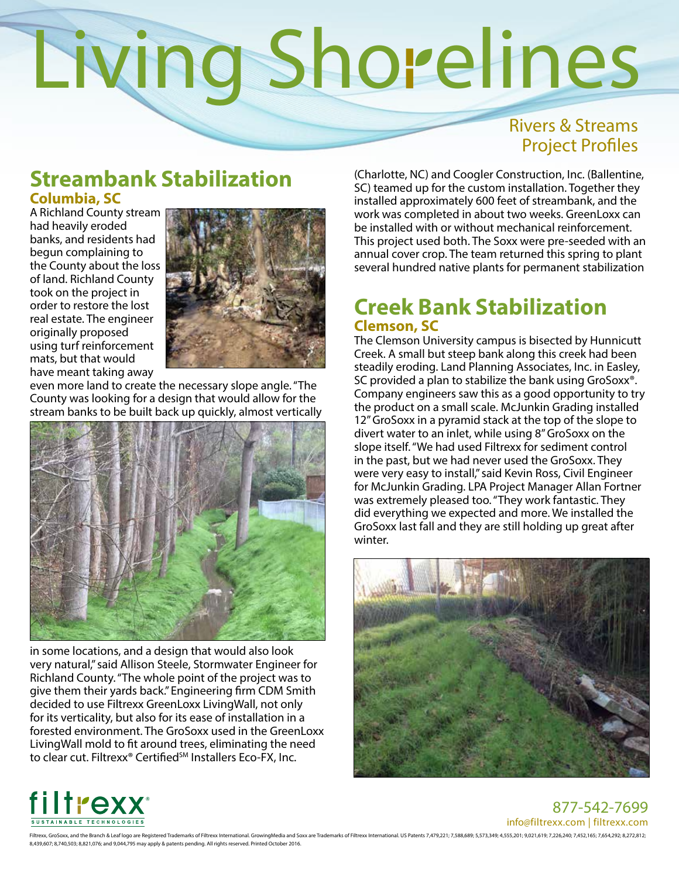## Rivers & Streams Project Profiles

## **Streambank Stabilization Columbia, SC**

A Richland County stream had heavily eroded banks, and residents had begun complaining to the County about the loss of land. Richland County took on the project in order to restore the lost real estate. The engineer originally proposed using turf reinforcement mats, but that would have meant taking away



even more land to create the necessary slope angle. "The County was looking for a design that would allow for the stream banks to be built back up quickly, almost vertically



in some locations, and a design that would also look very natural," said Allison Steele, Stormwater Engineer for Richland County. "The whole point of the project was to give them their yards back." Engineering firm CDM Smith decided to use Filtrexx GreenLoxx LivingWall, not only for its verticality, but also for its ease of installation in a forested environment. The GroSoxx used in the GreenLoxx LivingWall mold to fit around trees, eliminating the need to clear cut. Filtrexx<sup>®</sup> Certified<sup>SM</sup> Installers Eco-FX, Inc.

(Charlotte, NC) and Coogler Construction, Inc. (Ballentine, SC) teamed up for the custom installation. Together they installed approximately 600 feet of streambank, and the work was completed in about two weeks. GreenLoxx can be installed with or without mechanical reinforcement. This project used both. The Soxx were pre-seeded with an annual cover crop. The team returned this spring to plant several hundred native plants for permanent stabilization

### **Creek Bank Stabilization Clemson, SC**

The Clemson University campus is bisected by Hunnicutt Creek. A small but steep bank along this creek had been steadily eroding. Land Planning Associates, Inc. in Easley, SC provided a plan to stabilize the bank using GroSoxx®. Company engineers saw this as a good opportunity to try the product on a small scale. McJunkin Grading installed 12" GroSoxx in a pyramid stack at the top of the slope to divert water to an inlet, while using 8" GroSoxx on the slope itself. "We had used Filtrexx for sediment control in the past, but we had never used the GroSoxx. They were very easy to install," said Kevin Ross, Civil Engineer for McJunkin Grading. LPA Project Manager Allan Fortner was extremely pleased too. "They work fantastic. They did everything we expected and more. We installed the GroSoxx last fall and they are still holding up great after winter.





877-542-7699 info@filtrexx.com | filtrexx.com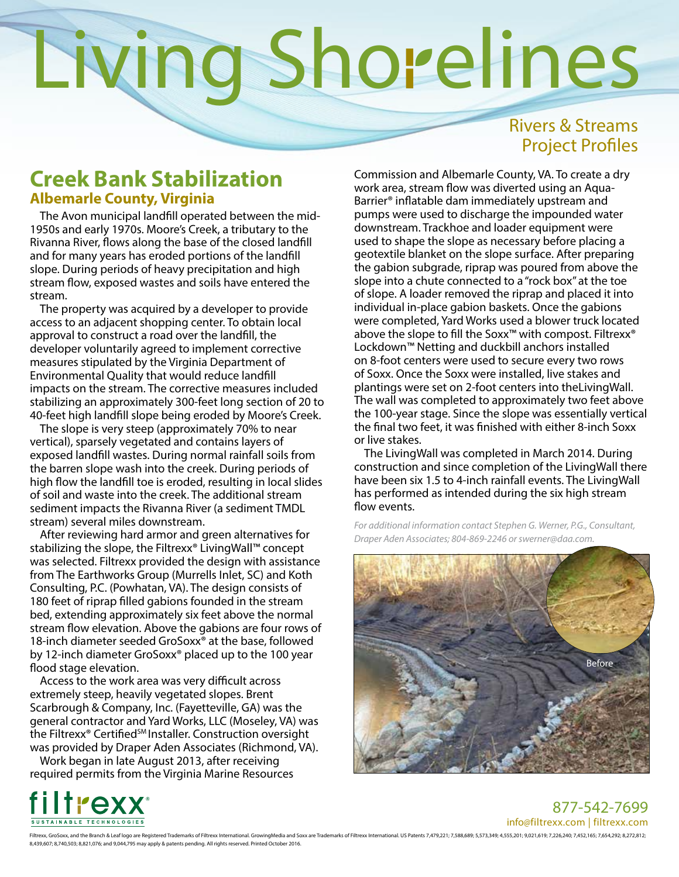## Rivers & Streams Project Profiles

### **Creek Bank Stabilization Albemarle County, Virginia**

The Avon municipal landfill operated between the mid-1950s and early 1970s. Moore's Creek, a tributary to the Rivanna River, flows along the base of the closed landfill and for many years has eroded portions of the landfill slope. During periods of heavy precipitation and high stream flow, exposed wastes and soils have entered the stream.

The property was acquired by a developer to provide access to an adjacent shopping center. To obtain local approval to construct a road over the landfill, the developer voluntarily agreed to implement corrective measures stipulated by the Virginia Department of Environmental Quality that would reduce landfill impacts on the stream. The corrective measures included stabilizing an approximately 300-feet long section of 20 to 40-feet high landfill slope being eroded by Moore's Creek.

The slope is very steep (approximately 70% to near vertical), sparsely vegetated and contains layers of exposed landfill wastes. During normal rainfall soils from the barren slope wash into the creek. During periods of high flow the landfill toe is eroded, resulting in local slides of soil and waste into the creek. The additional stream sediment impacts the Rivanna River (a sediment TMDL stream) several miles downstream.

After reviewing hard armor and green alternatives for stabilizing the slope, the Filtrexx® LivingWall™ concept was selected. Filtrexx provided the design with assistance from The Earthworks Group (Murrells Inlet, SC) and Koth Consulting, P.C. (Powhatan, VA). The design consists of 180 feet of riprap filled gabions founded in the stream bed, extending approximately six feet above the normal stream flow elevation. Above the gabions are four rows of 18-inch diameter seeded GroSoxx® at the base, followed by 12-inch diameter GroSoxx® placed up to the 100 year flood stage elevation.

Access to the work area was very difficult across extremely steep, heavily vegetated slopes. Brent Scarbrough & Company, Inc. (Fayetteville, GA) was the general contractor and Yard Works, LLC (Moseley, VA) was the Filtrexx<sup>®</sup> Certified<sup>SM</sup> Installer. Construction oversight was provided by Draper Aden Associates (Richmond, VA).

Work began in late August 2013, after receiving required permits from the Virginia Marine Resources Commission and Albemarle County, VA. To create a dry work area, stream flow was diverted using an Aqua-Barrier® inflatable dam immediately upstream and pumps were used to discharge the impounded water downstream. Trackhoe and loader equipment were used to shape the slope as necessary before placing a geotextile blanket on the slope surface. After preparing the gabion subgrade, riprap was poured from above the slope into a chute connected to a "rock box" at the toe of slope. A loader removed the riprap and placed it into individual in-place gabion baskets. Once the gabions were completed, Yard Works used a blower truck located above the slope to fill the Soxx™ with compost. Filtrexx® Lockdown™ Netting and duckbill anchors installed on 8-foot centers were used to secure every two rows of Soxx. Once the Soxx were installed, live stakes and plantings were set on 2-foot centers into theLivingWall. The wall was completed to approximately two feet above the 100-year stage. Since the slope was essentially vertical the final two feet, it was finished with either 8-inch Soxx or live stakes.

The LivingWall was completed in March 2014. During construction and since completion of the LivingWall there have been six 1.5 to 4-inch rainfall events. The LivingWall has performed as intended during the six high stream flow events.

*For additional information contact Stephen G. Werner, P.G., Consultant, Draper Aden Associates; 804-869-2246 or swerner@daa.com.*





877-542-7699 info@filtrexx.com | filtrexx.com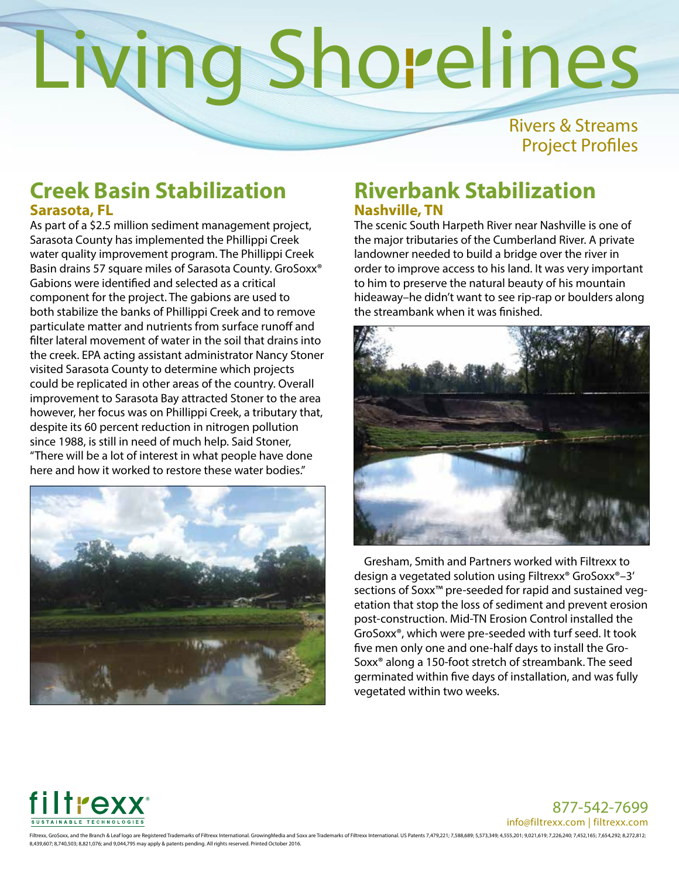Rivers & Streams Project Profiles

### **Creek Basin Stabilization Sarasota, FL**

As part of a \$2.5 million sediment management project, Sarasota County has implemented the Phillippi Creek water quality improvement program. The Phillippi Creek Basin drains 57 square miles of Sarasota County. GroSoxx® Gabions were identified and selected as a critical component for the project. The gabions are used to both stabilize the banks of Phillippi Creek and to remove particulate matter and nutrients from surface runoff and filter lateral movement of water in the soil that drains into the creek. EPA acting assistant administrator Nancy Stoner visited Sarasota County to determine which projects could be replicated in other areas of the country. Overall improvement to Sarasota Bay attracted Stoner to the area however, her focus was on Phillippi Creek, a tributary that, despite its 60 percent reduction in nitrogen pollution since 1988, is still in need of much help. Said Stoner, "There will be a lot of interest in what people have done here and how it worked to restore these water bodies."



## **Riverbank Stabilization Nashville, TN**

The scenic South Harpeth River near Nashville is one of the major tributaries of the Cumberland River. A private landowner needed to build a bridge over the river in order to improve access to his land. It was very important to him to preserve the natural beauty of his mountain hideaway–he didn't want to see rip-rap or boulders along the streambank when it was finished.



Gresham, Smith and Partners worked with Filtrexx to design a vegetated solution using Filtrexx® GroSoxx®–3' sections of Soxx™ pre-seeded for rapid and sustained vegetation that stop the loss of sediment and prevent erosion post-construction. Mid-TN Erosion Control installed the GroSoxx®, which were pre-seeded with turf seed. It took five men only one and one-half days to install the Gro-Soxx® along a 150-foot stretch of streambank. The seed germinated within five days of installation, and was fully vegetated within two weeks.



877-542-7699 info@filtrexx.com | filtrexx.com